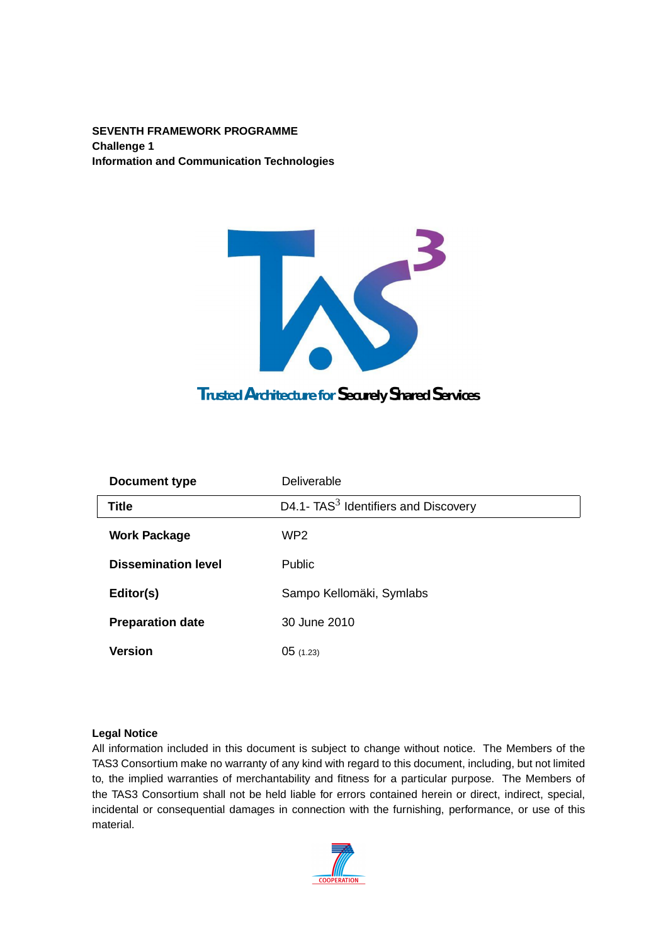**SEVENTH FRAMEWORK PROGRAMME Challenge 1 Information and Communication Technologies**



| Document type              | Deliverable                            |
|----------------------------|----------------------------------------|
| <b>Title</b>               | D4.1- $TAS3$ Identifiers and Discovery |
| <b>Work Package</b>        | WP <sub>2</sub>                        |
| <b>Dissemination level</b> | <b>Public</b>                          |
| Editor(s)                  | Sampo Kellomäki, Symlabs               |
| <b>Preparation date</b>    | 30 June 2010                           |
| <b>Version</b>             | 05(1.23)                               |

#### **Legal Notice**

All information included in this document is subject to change without notice. The Members of the TAS3 Consortium make no warranty of any kind with regard to this document, including, but not limited to, the implied warranties of merchantability and fitness for a particular purpose. The Members of the TAS3 Consortium shall not be held liable for errors contained herein or direct, indirect, special, incidental or consequential damages in connection with the furnishing, performance, or use of this material.

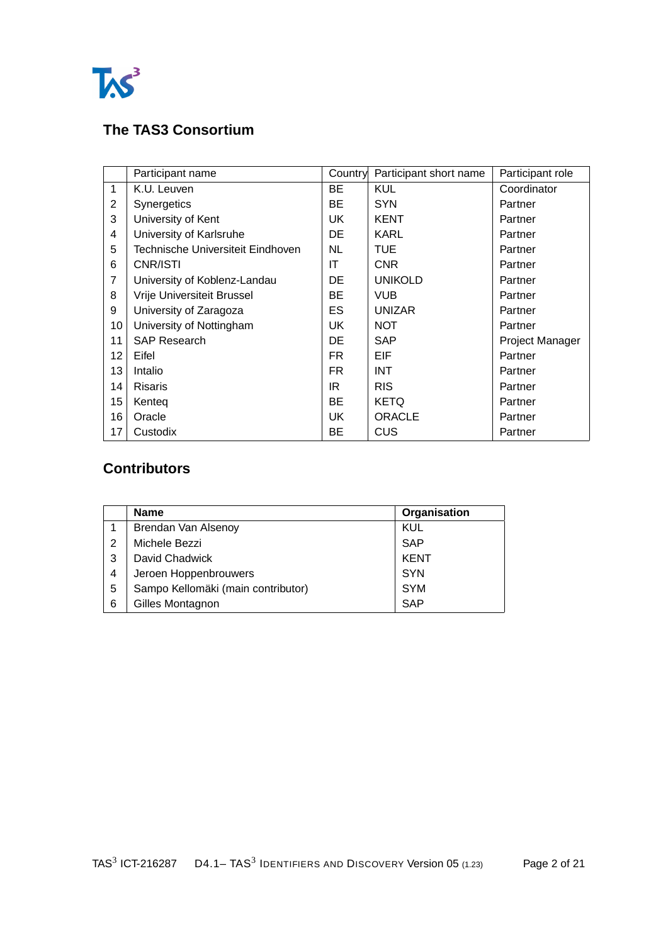

## **The TAS3 Consortium**

|                | Participant name                  | Country   | Participant short name | Participant role |
|----------------|-----------------------------------|-----------|------------------------|------------------|
| $\mathbf{1}$   | K.U. Leuven                       | BE        | <b>KUL</b>             | Coordinator      |
| $\overline{2}$ | Synergetics                       | BE        | <b>SYN</b>             | Partner          |
| 3              | University of Kent                | <b>UK</b> | <b>KENT</b>            | Partner          |
| 4              | University of Karlsruhe           | DE        | <b>KARL</b>            | Partner          |
| 5              | Technische Universiteit Eindhoven | <b>NL</b> | <b>TUE</b>             | Partner          |
| 6              | CNR/ISTI                          | ΙT        | <b>CNR</b>             | Partner          |
| 7              | University of Koblenz-Landau      | DE        | <b>UNIKOLD</b>         | Partner          |
| 8              | Vrije Universiteit Brussel        | BE        | <b>VUB</b>             | Partner          |
| 9              | University of Zaragoza            | ES        | <b>UNIZAR</b>          | Partner          |
| 10             | University of Nottingham          | UK        | <b>NOT</b>             | Partner          |
| 11             | <b>SAP Research</b>               | DE        | <b>SAP</b>             | Project Manager  |
| 12             | Eifel                             | FR.       | EIF                    | Partner          |
| 13             | Intalio                           | FR.       | <b>INT</b>             | Partner          |
| 14             | Risaris                           | IR        | <b>RIS</b>             | Partner          |
| 15             | Kenteg                            | BE        | <b>KETQ</b>            | Partner          |
| 16             | Oracle                            | UK        | <b>ORACLE</b>          | Partner          |
| 17             | Custodix                          | BЕ        | CUS                    | Partner          |

## **Contributors**

|   | <b>Name</b>                        | Organisation |
|---|------------------------------------|--------------|
|   | Brendan Van Alsenoy                | KUL          |
| 2 | Michele Bezzi                      | <b>SAP</b>   |
| 3 | David Chadwick                     | <b>KENT</b>  |
| 4 | Jeroen Hoppenbrouwers              | <b>SYN</b>   |
| 5 | Sampo Kellomäki (main contributor) | <b>SYM</b>   |
| 6 | Gilles Montagnon                   | <b>SAP</b>   |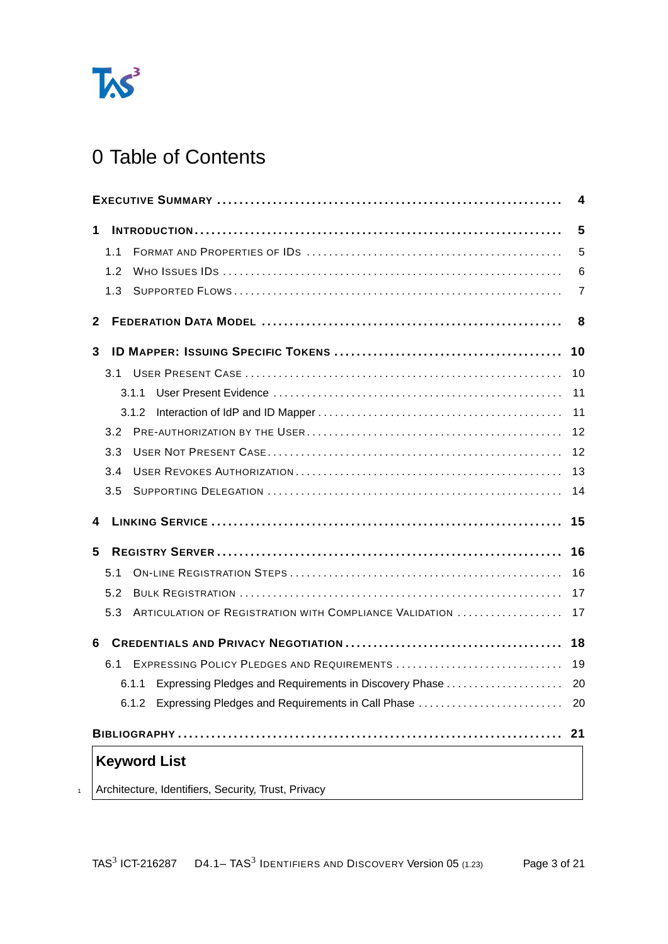

# 0 Table of Contents

<span id="page-2-0"></span>

|                                                                | 4  |
|----------------------------------------------------------------|----|
| 1                                                              | 5  |
| 1.1                                                            | 5  |
| 1.2                                                            | 6  |
| 1.3                                                            | 7  |
| $\mathbf{2}$                                                   | 8  |
| 3                                                              | 10 |
|                                                                | 10 |
| 3.1.1                                                          | 11 |
|                                                                | 11 |
| 3.2                                                            | 12 |
| 3.3                                                            | 12 |
| 3.4                                                            | 13 |
| 3.5                                                            | 14 |
| 4                                                              | 15 |
| 5                                                              | 16 |
| 5.1                                                            | 16 |
| 5.2                                                            | 17 |
| ARTICULATION OF REGISTRATION WITH COMPLIANCE VALIDATION<br>5.3 | 17 |
| 6                                                              | 18 |
| EXPRESSING POLICY PLEDGES AND REQUIREMENTS<br>6.1              | 19 |
|                                                                |    |
| 6.1.2 Expressing Pledges and Requirements in Call Phase        | 20 |
|                                                                | 21 |
| <b>Keyword List</b>                                            |    |
| Architecture, Identifiers, Security, Trust, Privacy            |    |
|                                                                |    |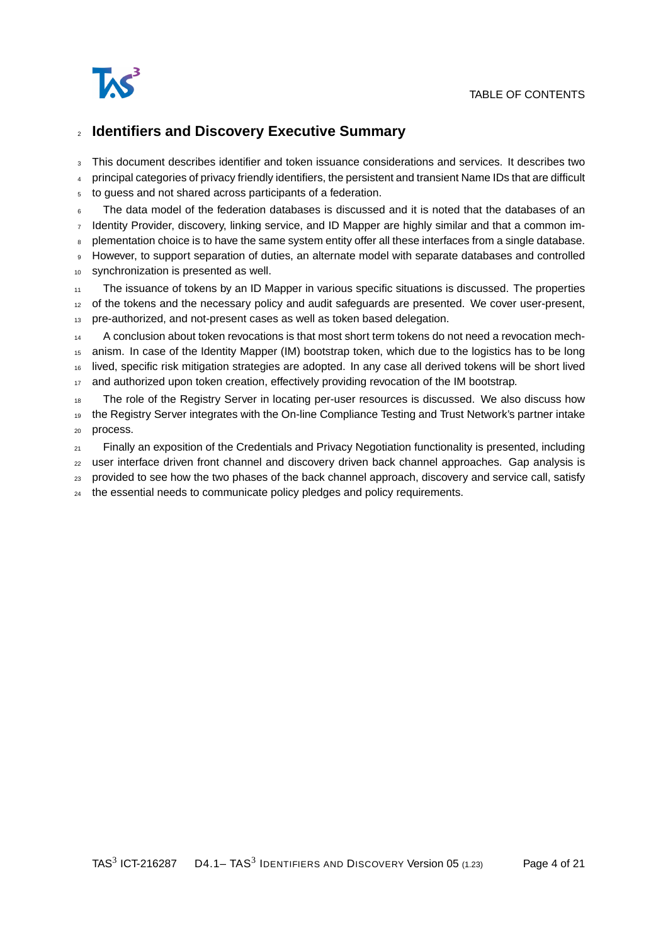

#### <sup>2</sup> **Identifiers and Discovery Executive Summary**

<sup>3</sup> This document describes identifier and token issuance considerations and services. It describes two

<sup>4</sup> principal categories of privacy friendly identifiers, the persistent and transient Name IDs that are difficult

<sup>5</sup> to guess and not shared across participants of a federation.

The data model of the federation databases is discussed and it is noted that the databases of an Identity Provider, discovery, linking service, and ID Mapper are highly similar and that a common im-

plementation choice is to have the same system entity offer all these interfaces from a single database.

However, to support separation of duties, an alternate model with separate databases and controlled

<sup>10</sup> synchronization is presented as well.

The issuance of tokens by an ID Mapper in various specific situations is discussed. The properties

<sup>12</sup> of the tokens and the necessary policy and audit safeguards are presented. We cover user-present,

<sup>13</sup> pre-authorized, and not-present cases as well as token based delegation.

<sup>14</sup> A conclusion about token revocations is that most short term tokens do not need a revocation mech-

anism. In case of the Identity Mapper (IM) bootstrap token, which due to the logistics has to be long

<sup>16</sup> lived, specific risk mitigation strategies are adopted. In any case all derived tokens will be short lived

17 and authorized upon token creation, effectively providing revocation of the IM bootstrap.

18 The role of the Registry Server in locating per-user resources is discussed. We also discuss how <sup>19</sup> the Registry Server integrates with the On-line Compliance Testing and Trust Network's partner intake <sup>20</sup> process.

 $21$  Finally an exposition of the Credentials and Privacy Negotiation functionality is presented, including

<sup>22</sup> user interface driven front channel and discovery driven back channel approaches. Gap analysis is

<sub>23</sub> provided to see how the two phases of the back channel approach, discovery and service call, satisfy

<sup>24</sup> the essential needs to communicate policy pledges and policy requirements.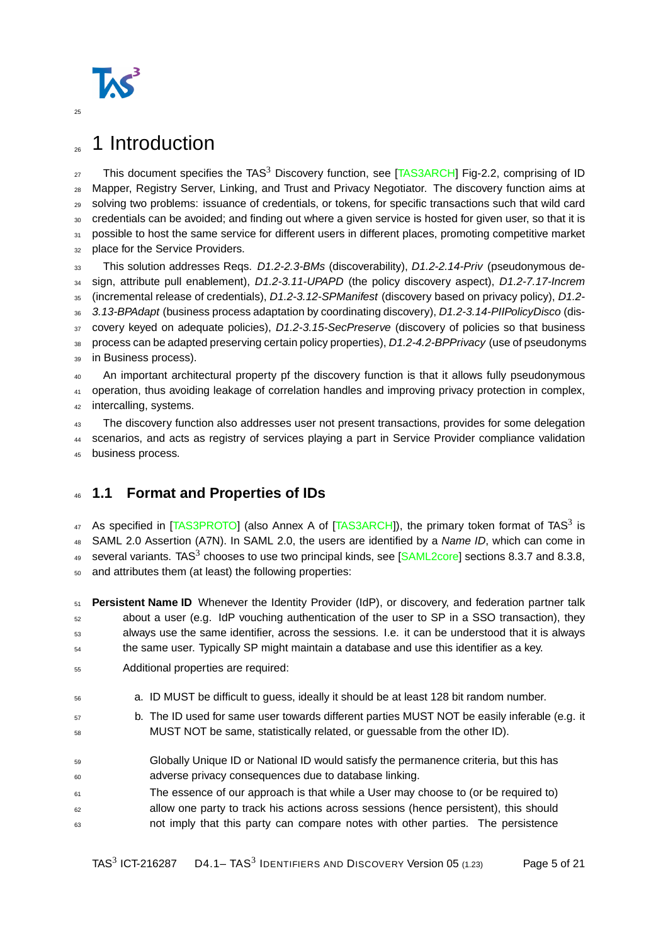

# <span id="page-4-0"></span><sub>26</sub> 1 Introduction

27 This document specifies the TAS<sup>3</sup> Discovery function, see [\[TAS3ARCH\]](#page-20-2) Fig-2.2, comprising of ID <sup>28</sup> Mapper, Registry Server, Linking, and Trust and Privacy Negotiator. The discovery function aims at <sup>29</sup> solving two problems: issuance of credentials, or tokens, for specific transactions such that wild card <sup>30</sup> credentials can be avoided; and finding out where a given service is hosted for given user, so that it is 31 possible to host the same service for different users in different places, promoting competitive market 32 place for the Service Providers. 33 This solution addresses Reqs. D1.2-2.3-BMs (discoverability), D1.2-2.14-Priv (pseudonymous de-

34 sign, attribute pull enablement), D1.2-3.11-UPAPD (the policy discovery aspect), D1.2-7.17-Increm

35 (incremental release of credentials), D1.2-3.12-SPManifest (discovery based on privacy policy), D1.2-

36 3.13-BPAdapt (business process adaptation by coordinating discovery), D1.2-3.14-PIIPolicyDisco (dis-

37 covery keyed on adequate policies), D1.2-3.15-SecPreserve (discovery of policies so that business

38 process can be adapted preserving certain policy properties), D1.2-4.2-BPPrivacy (use of pseudonyms 39 in Business process).

<sup>40</sup> An important architectural property pf the discovery function is that it allows fully pseudonymous <sup>41</sup> operation, thus avoiding leakage of correlation handles and improving privacy protection in complex,

42 intercalling, systems.

43 The discovery function also addresses user not present transactions, provides for some delegation

44 scenarios, and acts as registry of services playing a part in Service Provider compliance validation

<sup>45</sup> business process.

## <span id="page-4-1"></span><sup>46</sup> **1.1 Format and Properties of IDs**

47 As specified in [\[TAS3PROTO\]](#page-20-3) (also Annex A of [\[TAS3ARCH\]](#page-20-2)), the primary token format of TAS<sup>3</sup> is 48 SAML 2.0 Assertion (A7N). In SAML 2.0, the users are identified by a Name ID, which can come in  $_{49}$  several variants. TAS<sup>3</sup> chooses to use two principal kinds, see [\[SAML2core\]](#page-20-4) sections 8.3.7 and 8.3.8, <sup>50</sup> and attributes them (at least) the following properties:

 **Persistent Name ID** Whenever the Identity Provider (IdP), or discovery, and federation partner talk about a user (e.g. IdP vouching authentication of the user to SP in a SSO transaction), they always use the same identifier, across the sessions. I.e. it can be understood that it is always the same user. Typically SP might maintain a database and use this identifier as a key.

- <sup>55</sup> Additional properties are required:
- <sup>56</sup> a. ID MUST be difficult to guess, ideally it should be at least 128 bit random number.
- 57 b. The ID used for same user towards different parties MUST NOT be easily inferable (e.g. it MUST NOT be same, statistically related, or guessable from the other ID).
- <sup>59</sup> Globally Unique ID or National ID would satisfy the permanence criteria, but this has <sup>60</sup> adverse privacy consequences due to database linking.
- <sup>61</sup> The essence of our approach is that while a User may choose to (or be required to) <sup>62</sup> allow one party to track his actions across sessions (hence persistent), this should  $63$  not imply that this party can compare notes with other parties. The persistence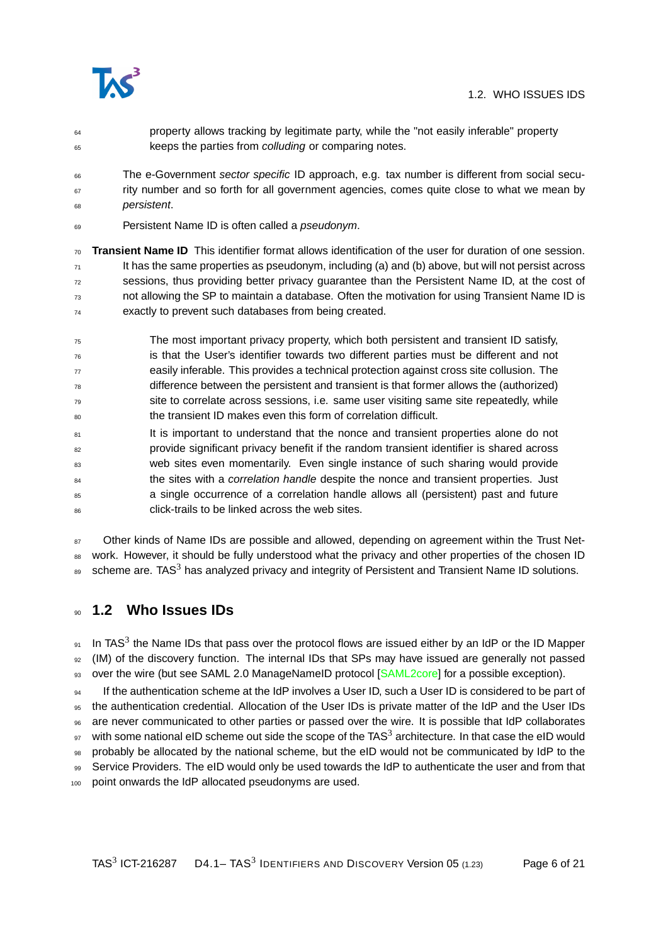

- <sup>64</sup> property allows tracking by legitimate party, while the "not easily inferable" property 65 keeps the parties from colluding or comparing notes.
- The e-Government sector specific ID approach, e.g. tax number is different from social secu- $67$  rity number and so forth for all government agencies, comes quite close to what we mean by <sup>68</sup> persistent.
- 69 Persistent Name ID is often called a *pseudonym*.
- <sup>70</sup> **Transient Name ID** This identifier format allows identification of the user for duration of one session.  $<sub>71</sub>$  It has the same properties as pseudonym, including (a) and (b) above, but will not persist across</sub>  $72$  sessions, thus providing better privacy guarantee than the Persistent Name ID, at the cost of <sup>73</sup> not allowing the SP to maintain a database. Often the motivation for using Transient Name ID is <sup>74</sup> exactly to prevent such databases from being created.
- <sup>75</sup> The most important privacy property, which both persistent and transient ID satisfy,  $76$  is that the User's identifier towards two different parties must be different and not  $77$  easily inferable. This provides a technical protection against cross site collusion. The difference between the persistent and transient is that former allows the (authorized) <sup>79</sup> site to correlate across sessions, i.e. same user visiting same site repeatedly, while <sup>80</sup> the transient ID makes even this form of correlation difficult.
- 81 It is important to understand that the nonce and transient properties alone do not <sup>82</sup> provide significant privacy benefit if the random transient identifier is shared across 83 web sites even momentarily. Even single instance of such sharing would provide <sup>84</sup> the sites with a *correlation handle* despite the nonce and transient properties. Just <sup>85</sup> a single occurrence of a correlation handle allows all (persistent) past and future 86 click-trails to be linked across the web sites.

87 Other kinds of Name IDs are possible and allowed, depending on agreement within the Trust Net-88 work. However, it should be fully understood what the privacy and other properties of the chosen ID  $_{89}$  scheme are. TAS<sup>3</sup> has analyzed privacy and integrity of Persistent and Transient Name ID solutions.

### <span id="page-5-0"></span><sup>90</sup> **1.2 Who Issues IDs**

 $91$  In TAS<sup>3</sup> the Name IDs that pass over the protocol flows are issued either by an IdP or the ID Mapper <sup>92</sup> (IM) of the discovery function. The internal IDs that SPs may have issued are generally not passed 93 over the wire (but see SAML 2.0 ManageNameID protocol [\[SAML2core\]](#page-20-4) for a possible exception).

If the authentication scheme at the IdP involves a User ID, such a User ID is considered to be part of <sup>95</sup> the authentication credential. Allocation of the User IDs is private matter of the IdP and the User IDs <sup>96</sup> are never communicated to other parties or passed over the wire. It is possible that IdP collaborates  $_{97}$  with some national eID scheme out side the scope of the TAS<sup>3</sup> architecture. In that case the eID would <sup>98</sup> probably be allocated by the national scheme, but the eID would not be communicated by IdP to the 99 Service Providers. The eID would only be used towards the IdP to authenticate the user and from that point onwards the IdP allocated pseudonyms are used.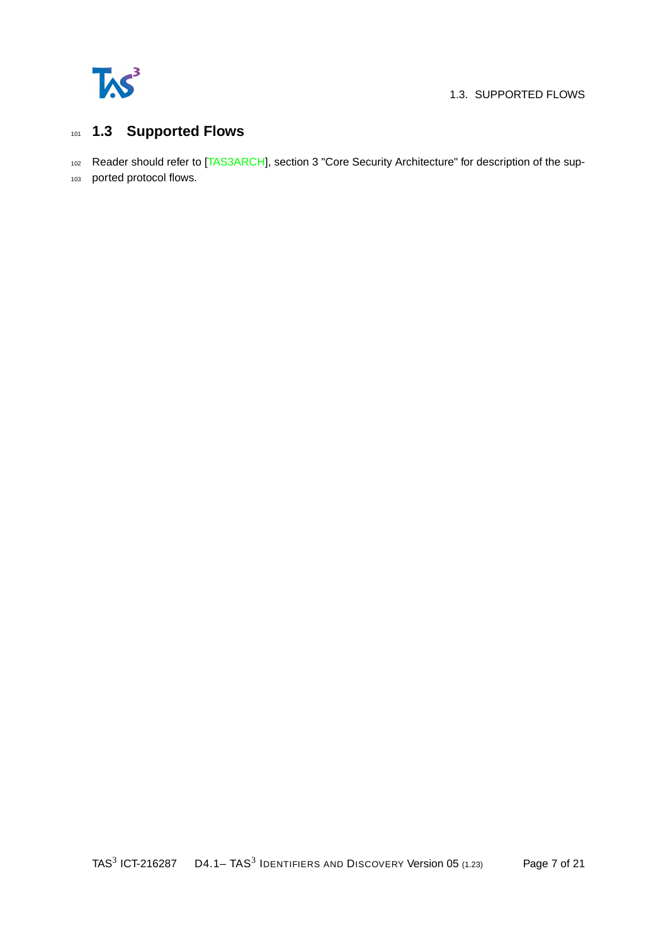

#### 1.3. SUPPORTED FLOWS

## <span id="page-6-0"></span><sup>101</sup> **1.3 Supported Flows**

102 Reader should refer to [\[TAS3ARCH\]](#page-20-2), section 3 "Core Security Architecture" for description of the sup-

<sup>103</sup> ported protocol flows.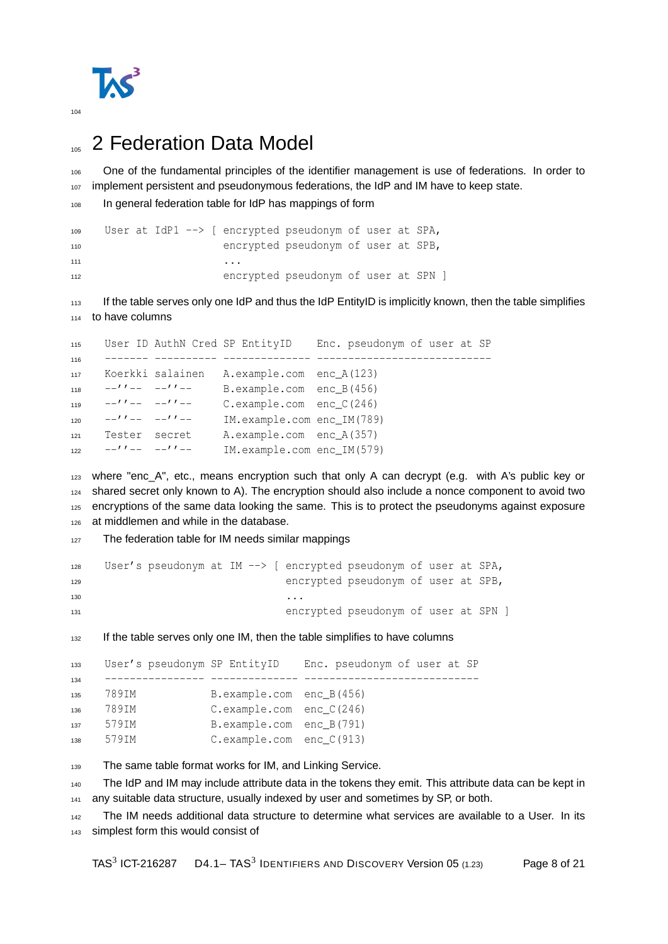

# <span id="page-7-0"></span><sup>105</sup> 2 Federation Data Model

106 One of the fundamental principles of the identifier management is use of federations. In order to 107 implement persistent and pseudonymous federations, the IdP and IM have to keep state.

```
108 In general federation table for IdP has mappings of form
```

```
109 User at IdP1 --> [ encrypted pseudonym of user at SPA,
110 encrypted pseudonym of user at SPB,
\mathbf{111} ...
112 encrypted pseudonym of user at SPN ]
```
 If the table serves only one IdP and thus the IdP EntityID is implicitly known, then the table simplifies to have columns

```
115 User ID AuthN Cred SP EntityID Enc. pseudonym of user at SP
116 ------- ---------- -------------- ----------------------------
117 Koerkki salainen A.example.com enc_A(123)
118 -''-- -''-- B.example.com enc B(456)
119 --''----''-- C.example.com enc_C(246)
120 -''-- -''-- IM.example.com enc_IM(789)
121 Tester secret A.example.com enc_A(357)
122 -1''-- -1''-- IM.example.com enc IM(579)
```

```
123 where "enc_A", etc., means encryption such that only A can decrypt (e.g. with A's public key or
124 shared secret only known to A). The encryption should also include a nonce component to avoid two
125 encryptions of the same data looking the same. This is to protect the pseudonyms against exposure
126 at middlemen and while in the database.
```
127 The federation table for IM needs similar mappings

```
128 User's pseudonym at IM --> [ encrypted pseudonym of user at SPA,
129 encrypted pseudonym of user at SPB,
130 ...
131 encrypted pseudonym of user at SPN ]
```
<sup>132</sup> If the table serves only one IM, then the table simplifies to have columns

```
133 User's pseudonym SP EntityID Enc. pseudonym of user at SP
134 ---------------- -------------- ----------------------------
135 789IM B.example.com enc_B(456)
136 789IM C.example.com enc_C(246)
137 579IM B.example.com enc_B(791)
138 579IM C.example.com enc_C(913)
```
139 The same table format works for IM, and Linking Service.

140 The IdP and IM may include attribute data in the tokens they emit. This attribute data can be kept in 141 any suitable data structure, usually indexed by user and sometimes by SP, or both.

142 The IM needs additional data structure to determine what services are available to a User. In its simplest form this would consist of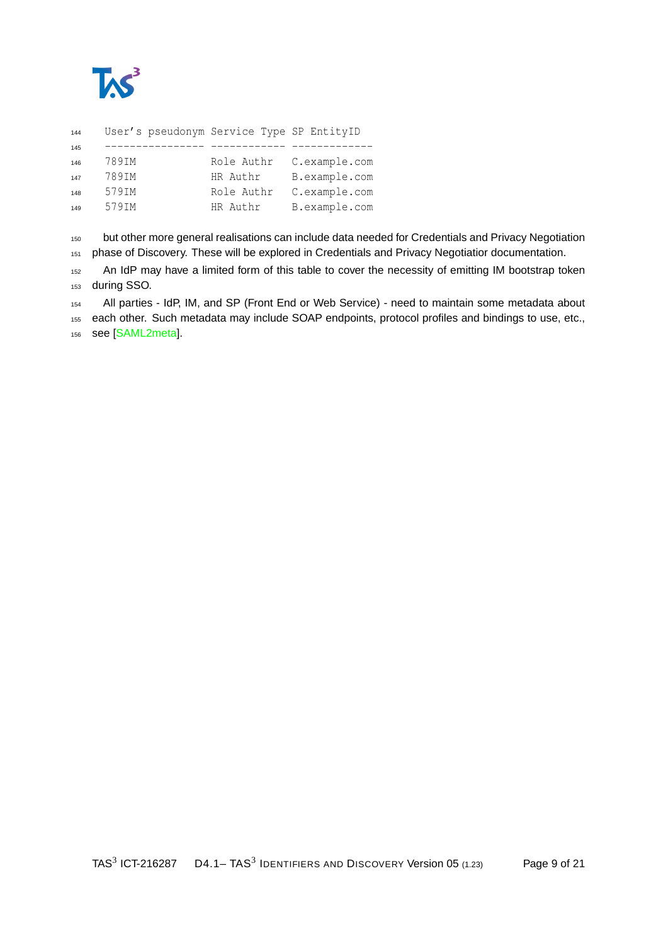

| 144 | User's pseudonym Service Type SP EntityID |            |               |
|-----|-------------------------------------------|------------|---------------|
| 145 |                                           |            |               |
| 146 | 789IM                                     | Role Authr | C.example.com |
| 147 | 789IM                                     | HR Authr   | B.example.com |
| 148 | 579IM                                     | Role Authr | C.example.com |
| 149 | 579IM                                     | HR Authr   | B.example.com |
|     |                                           |            |               |

150 but other more general realisations can include data needed for Credentials and Privacy Negotiation 151 phase of Discovery. These will be explored in Credentials and Privacy Negotiatior documentation.

152 An IdP may have a limited form of this table to cover the necessity of emitting IM bootstrap token during SSO.

All parties - IdP, IM, and SP (Front End or Web Service) - need to maintain some metadata about

 each other. Such metadata may include SOAP endpoints, protocol profiles and bindings to use, etc., see [\[SAML2meta\]](#page-20-5).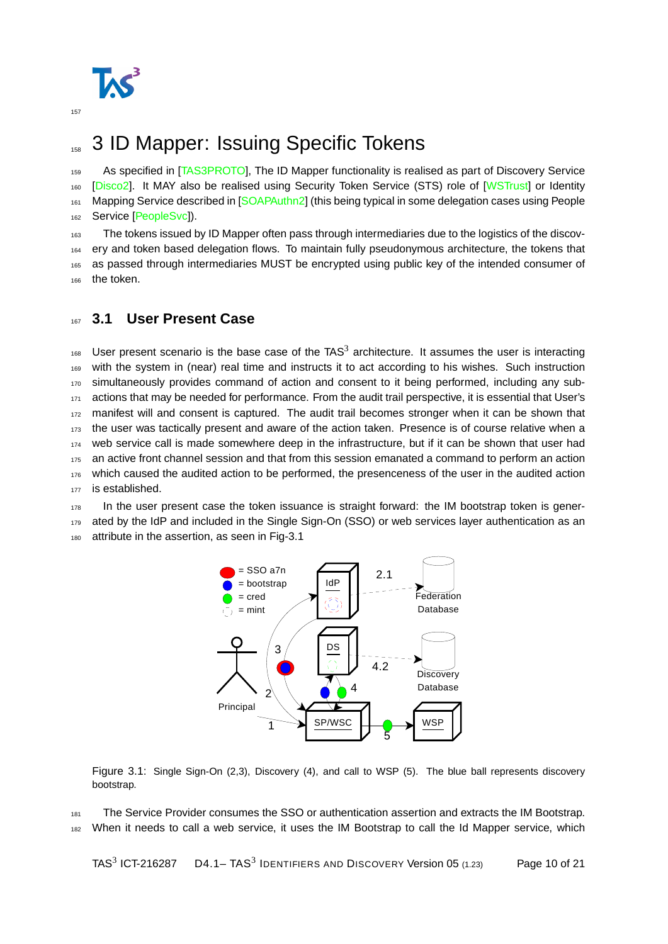

# <span id="page-9-0"></span>158 3 ID Mapper: Issuing Specific Tokens

159 As specified in [\[TAS3PROTO\]](#page-20-3), The ID Mapper functionality is realised as part of Discovery Service 160 [\[Disco2\]](#page-20-6). It MAY also be realised using Security Token Service (STS) role of [\[WSTrust\]](#page-20-7) or Identity 161 Mapping Service described in [\[SOAPAuthn2\]](#page-20-8) (this being typical in some delegation cases using People 162 Service [\[PeopleSvc\]](#page-20-9)).

163 The tokens issued by ID Mapper often pass through intermediaries due to the logistics of the discov-<sup>164</sup> ery and token based delegation flows. To maintain fully pseudonymous architecture, the tokens that <sup>165</sup> as passed through intermediaries MUST be encrypted using public key of the intended consumer of 166 the token.

#### <span id="page-9-1"></span><sup>167</sup> **3.1 User Present Case**

 $168$  User present scenario is the base case of the TAS<sup>3</sup> architecture. It assumes the user is interacting <sup>169</sup> with the system in (near) real time and instructs it to act according to his wishes. Such instruction 170 simultaneously provides command of action and consent to it being performed, including any sub-171 actions that may be needed for performance. From the audit trail perspective, it is essential that User's 172 manifest will and consent is captured. The audit trail becomes stronger when it can be shown that <sup>173</sup> the user was tactically present and aware of the action taken. Presence is of course relative when a <sup>174</sup> web service call is made somewhere deep in the infrastructure, but if it can be shown that user had <sup>175</sup> an active front channel session and that from this session emanated a command to perform an action 176 which caused the audited action to be performed, the presenceness of the user in the audited action 177 is established.

<sup>178</sup> In the user present case the token issuance is straight forward: the IM bootstrap token is gener-179 ated by the IdP and included in the Single Sign-On (SSO) or web services layer authentication as an 180 attribute in the assertion, as seen in Fig[-3.1](#page-9-2)



<span id="page-9-2"></span>Figure 3.1: Single Sign-On (2,3), Discovery (4), and call to WSP (5). The blue ball represents discovery bootstrap.

181 The Service Provider consumes the SSO or authentication assertion and extracts the IM Bootstrap. <sup>182</sup> When it needs to call a web service, it uses the IM Bootstrap to call the Id Mapper service, which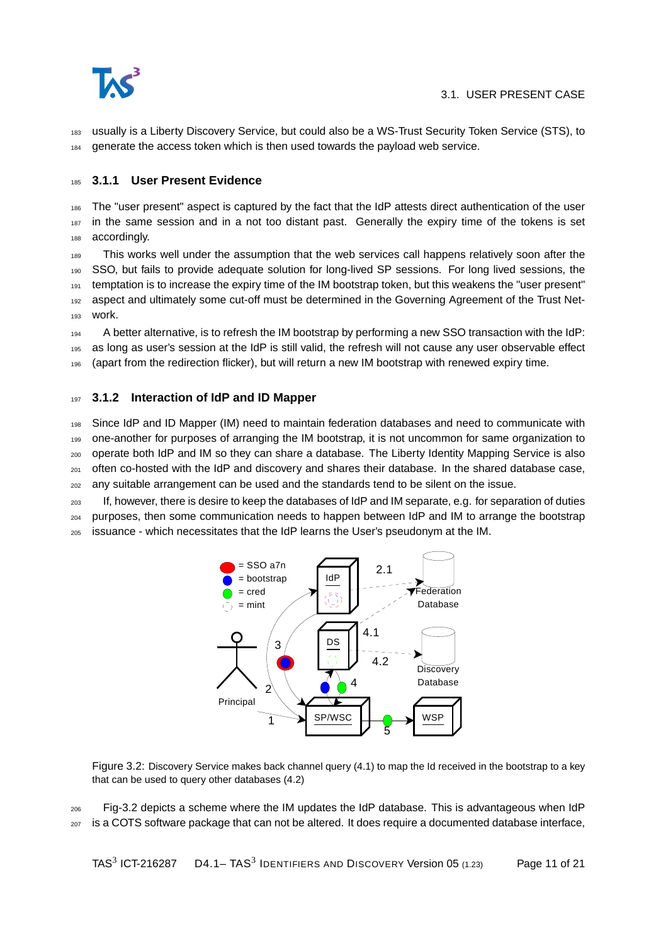

<sup>183</sup> usually is a Liberty Discovery Service, but could also be a WS-Trust Security Token Service (STS), to <sup>184</sup> generate the access token which is then used towards the payload web service.

#### <span id="page-10-0"></span><sup>185</sup> **3.1.1 User Present Evidence**

<sup>186</sup> The "user present" aspect is captured by the fact that the IdP attests direct authentication of the user 187 in the same session and in a not too distant past. Generally the expiry time of the tokens is set 188 accordingly.

<sup>189</sup> This works well under the assumption that the web services call happens relatively soon after the <sup>190</sup> SSO, but fails to provide adequate solution for long-lived SP sessions. For long lived sessions, the <sup>191</sup> temptation is to increase the expiry time of the IM bootstrap token, but this weakens the "user present" 192 aspect and ultimately some cut-off must be determined in the Governing Agreement of the Trust Net-<sup>193</sup> work.

<sup>194</sup> A better alternative, is to refresh the IM bootstrap by performing a new SSO transaction with the IdP: <sup>195</sup> as long as user's session at the IdP is still valid, the refresh will not cause any user observable effect <sup>196</sup> (apart from the redirection flicker), but will return a new IM bootstrap with renewed expiry time.

#### <span id="page-10-1"></span><sup>197</sup> **3.1.2 Interaction of IdP and ID Mapper**

 Since IdP and ID Mapper (IM) need to maintain federation databases and need to communicate with one-another for purposes of arranging the IM bootstrap, it is not uncommon for same organization to operate both IdP and IM so they can share a database. The Liberty Identity Mapping Service is also  $_{201}$  often co-hosted with the IdP and discovery and shares their database. In the shared database case, any suitable arrangement can be used and the standards tend to be silent on the issue.

<sup>203</sup> If, however, there is desire to keep the databases of IdP and IM separate, e.g. for separation of duties <sup>204</sup> purposes, then some communication needs to happen between IdP and IM to arrange the bootstrap <sup>205</sup> issuance - which necessitates that the IdP learns the User's pseudonym at the IM.



<span id="page-10-2"></span>Figure 3.2: Discovery Service makes back channel query (4.1) to map the Id received in the bootstrap to a key that can be used to query other databases (4.2)

<sup>206</sup> Fig[-3.2](#page-10-2) depicts a scheme where the IM updates the IdP database. This is advantageous when IdP <sup>207</sup> is a COTS software package that can not be altered. It does require a documented database interface,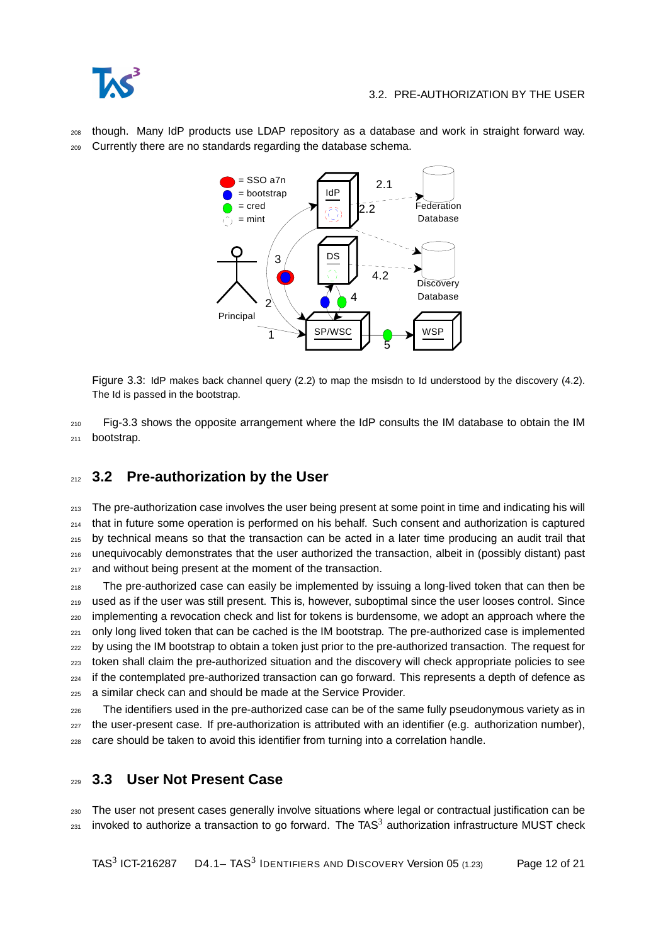<sup>208</sup> though. Many IdP products use LDAP repository as a database and work in straight forward way. <sup>209</sup> Currently there are no standards regarding the database schema.



<span id="page-11-2"></span>Figure 3.3: IdP makes back channel query (2.2) to map the msisdn to Id understood by the discovery (4.2). The Id is passed in the bootstrap.

 $210$  Fig[-3.3](#page-11-2) shows the opposite arrangement where the IdP consults the IM database to obtain the IM <sup>211</sup> bootstrap.

## <span id="page-11-0"></span><sup>212</sup> **3.2 Pre-authorization by the User**

213 The pre-authorization case involves the user being present at some point in time and indicating his will <sup>214</sup> that in future some operation is performed on his behalf. Such consent and authorization is captured <sup>215</sup> by technical means so that the transaction can be acted in a later time producing an audit trail that <sup>216</sup> unequivocably demonstrates that the user authorized the transaction, albeit in (possibly distant) past 217 and without being present at the moment of the transaction.

<sub>218</sub> The pre-authorized case can easily be implemented by issuing a long-lived token that can then be <sup>219</sup> used as if the user was still present. This is, however, suboptimal since the user looses control. Since <sub>220</sub> implementing a revocation check and list for tokens is burdensome, we adopt an approach where the 221 only long lived token that can be cached is the IM bootstrap. The pre-authorized case is implemented <sup>222</sup> by using the IM bootstrap to obtain a token just prior to the pre-authorized transaction. The request for <sup>223</sup> token shall claim the pre-authorized situation and the discovery will check appropriate policies to see <sub>224</sub> if the contemplated pre-authorized transaction can go forward. This represents a depth of defence as <sup>225</sup> a similar check can and should be made at the Service Provider.

<sub>226</sub> The identifiers used in the pre-authorized case can be of the same fully pseudonymous variety as in <sup>227</sup> the user-present case. If pre-authorization is attributed with an identifier (e.g. authorization number), <sup>228</sup> care should be taken to avoid this identifier from turning into a correlation handle.

### <span id="page-11-1"></span><sup>229</sup> **3.3 User Not Present Case**

<sup>230</sup> The user not present cases generally involve situations where legal or contractual justification can be  $_{231}$  invoked to authorize a transaction to go forward. The TAS<sup>3</sup> authorization infrastructure MUST check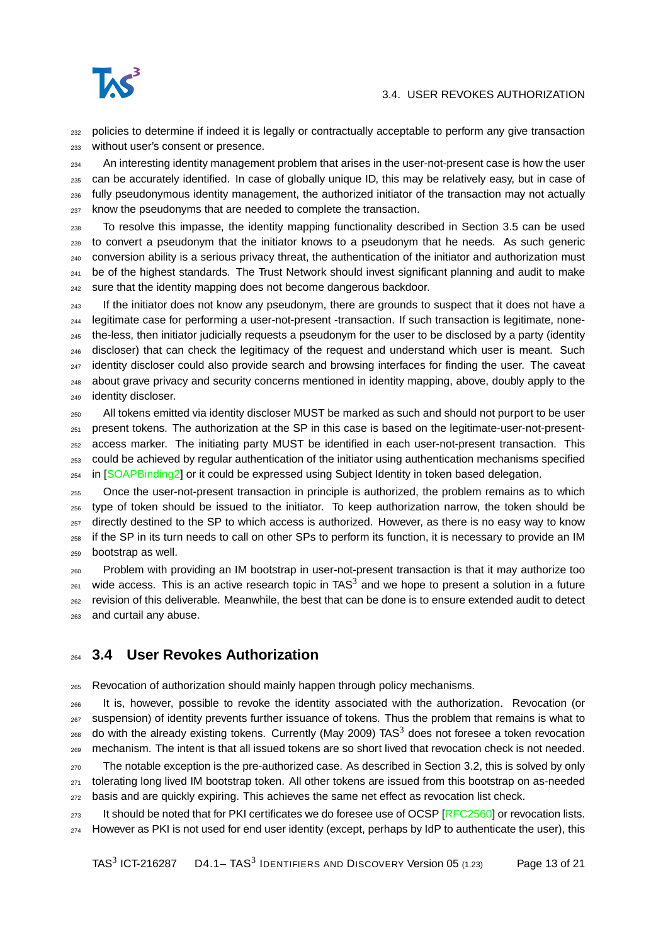

#### 3.4. USER REVOKES AUTHORIZATION

<sub>232</sub> policies to determine if indeed it is legally or contractually acceptable to perform any give transaction without user's consent or presence.

<sub>234</sub> An interesting identity management problem that arises in the user-not-present case is how the user can be accurately identified. In case of globally unique ID, this may be relatively easy, but in case of fully pseudonymous identity management, the authorized initiator of the transaction may not actually know the pseudonyms that are needed to complete the transaction.

 To resolve this impasse, the identity mapping functionality described in Section [3.5](#page-13-0) can be used to convert a pseudonym that the initiator knows to a pseudonym that he needs. As such generic conversion ability is a serious privacy threat, the authentication of the initiator and authorization must  $_{241}$  be of the highest standards. The Trust Network should invest significant planning and audit to make <sup>242</sup> sure that the identity mapping does not become dangerous backdoor.

<sup>243</sup> If the initiator does not know any pseudonym, there are grounds to suspect that it does not have a legitimate case for performing a user-not-present -transaction. If such transaction is legitimate, none- the-less, then initiator judicially requests a pseudonym for the user to be disclosed by a party (identity discloser) that can check the legitimacy of the request and understand which user is meant. Such <sup>247</sup> identity discloser could also provide search and browsing interfaces for finding the user. The caveat about grave privacy and security concerns mentioned in identity mapping, above, doubly apply to the identity discloser.

 All tokens emitted via identity discloser MUST be marked as such and should not purport to be user present tokens. The authorization at the SP in this case is based on the legitimate-user-not-present- access marker. The initiating party MUST be identified in each user-not-present transaction. This could be achieved by regular authentication of the initiator using authentication mechanisms specified 254 in [\[SOAPBinding2\]](#page-20-10) or it could be expressed using Subject Identity in token based delegation.

 Once the user-not-present transaction in principle is authorized, the problem remains as to which type of token should be issued to the initiator. To keep authorization narrow, the token should be 257 directly destined to the SP to which access is authorized. However, as there is no easy way to know if the SP in its turn needs to call on other SPs to perform its function, it is necessary to provide an IM bootstrap as well.

 Problem with providing an IM bootstrap in user-not-present transaction is that it may authorize too  $_{261}$  wide access. This is an active research topic in TAS<sup>3</sup> and we hope to present a solution in a future revision of this deliverable. Meanwhile, the best that can be done is to ensure extended audit to detect and curtail any abuse.

#### <span id="page-12-0"></span>**3.4 User Revokes Authorization**

Revocation of authorization should mainly happen through policy mechanisms.

 It is, however, possible to revoke the identity associated with the authorization. Revocation (or suspension) of identity prevents further issuance of tokens. Thus the problem that remains is what to  $_{268}$  do with the already existing tokens. Currently (May 2009) TAS<sup>3</sup> does not foresee a token revocation mechanism. The intent is that all issued tokens are so short lived that revocation check is not needed.

<sub>270</sub> The notable exception is the pre-authorized case. As described in Section [3.2,](#page-11-0) this is solved by only tolerating long lived IM bootstrap token. All other tokens are issued from this bootstrap on as-needed <sub>272</sub> basis and are quickly expiring. This achieves the same net effect as revocation list check.

273 It should be noted that for PKI certificates we do foresee use of OCSP [\[RFC2560\]](#page-20-11) or revocation lists. However as PKI is not used for end user identity (except, perhaps by IdP to authenticate the user), this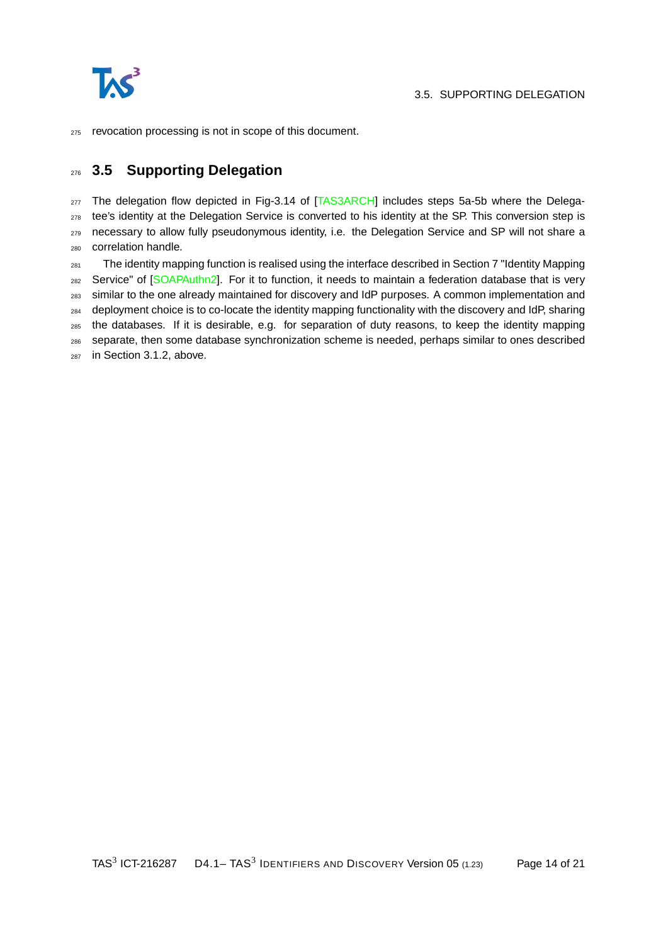

revocation processing is not in scope of this document.

## <span id="page-13-0"></span>**3.5 Supporting Delegation**

<sub>277</sub> The delegation flow depicted in Fig-3.14 of [\[TAS3ARCH\]](#page-20-2) includes steps 5a-5b where the Delega-<sub>278</sub> tee's identity at the Delegation Service is converted to his identity at the SP. This conversion step is 279 necessary to allow fully pseudonymous identity, i.e. the Delegation Service and SP will not share a correlation handle.

 The identity mapping function is realised using the interface described in Section 7 "Identity Mapping 282 Service" of [\[SOAPAuthn2\]](#page-20-8). For it to function, it needs to maintain a federation database that is very similar to the one already maintained for discovery and IdP purposes. A common implementation and deployment choice is to co-locate the identity mapping functionality with the discovery and IdP, sharing the databases. If it is desirable, e.g. for separation of duty reasons, to keep the identity mapping separate, then some database synchronization scheme is needed, perhaps similar to ones described in Section [3.1.2,](#page-10-1) above.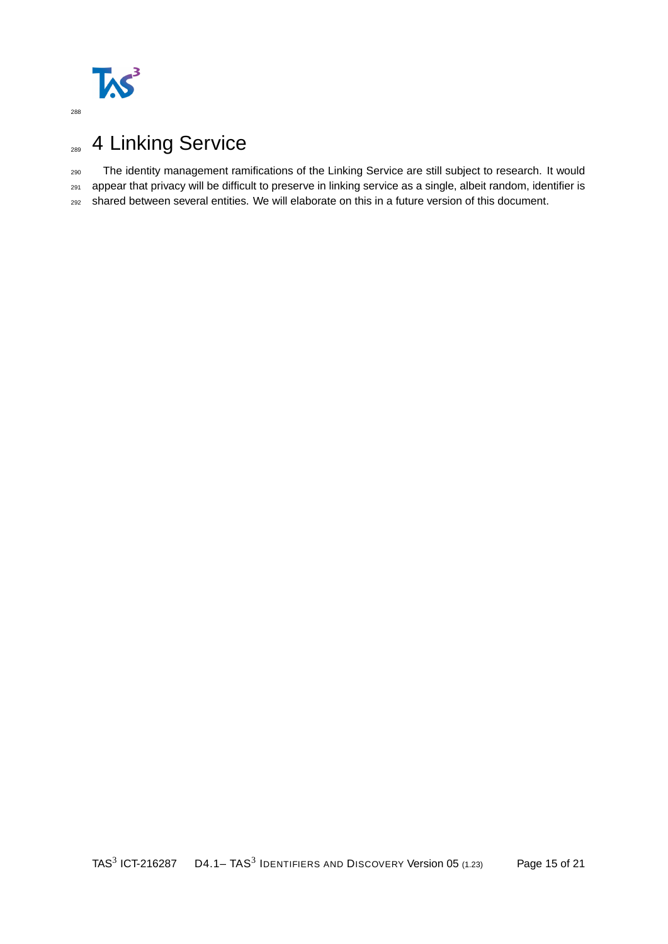

# <span id="page-14-0"></span>289 4 Linking Service

The identity management ramifications of the Linking Service are still subject to research. It would

appear that privacy will be difficult to preserve in linking service as a single, albeit random, identifier is

shared between several entities. We will elaborate on this in a future version of this document.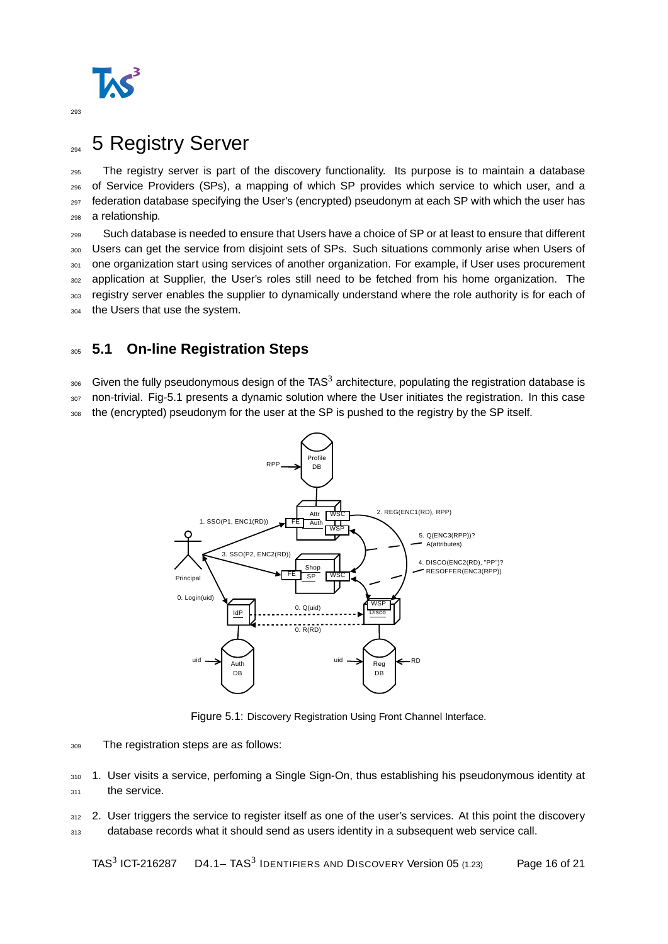

# <span id="page-15-0"></span><sub>294</sub> 5 Registry Server

 The registry server is part of the discovery functionality. Its purpose is to maintain a database of Service Providers (SPs), a mapping of which SP provides which service to which user, and a <sup>297</sup> federation database specifying the User's (encrypted) pseudonym at each SP with which the user has a relationship.

<sup>299</sup> Such database is needed to ensure that Users have a choice of SP or at least to ensure that different <sup>300</sup> Users can get the service from disjoint sets of SPs. Such situations commonly arise when Users of 301 one organization start using services of another organization. For example, if User uses procurement <sub>302</sub> application at Supplier, the User's roles still need to be fetched from his home organization. The 303 registry server enables the supplier to dynamically understand where the role authority is for each of 304 the Users that use the system.

## <span id="page-15-1"></span><sup>305</sup> **5.1 On-line Registration Steps**

 $_{306}$  Given the fully pseudonymous design of the TAS<sup>3</sup> architecture, populating the registration database is <sup>307</sup> non-trivial. Fig[-5.1](#page-15-2) presents a dynamic solution where the User initiates the registration. In this case

308 the (encrypted) pseudonym for the user at the SP is pushed to the registry by the SP itself.



<span id="page-15-2"></span>Figure 5.1: Discovery Registration Using Front Channel Interface.

<sup>309</sup> The registration steps are as follows:

310 1. User visits a service, perfoming a Single Sign-On, thus establishing his pseudonymous identity at 311 the service.

312 2. User triggers the service to register itself as one of the user's services. At this point the discovery 313 database records what it should send as users identity in a subsequent web service call.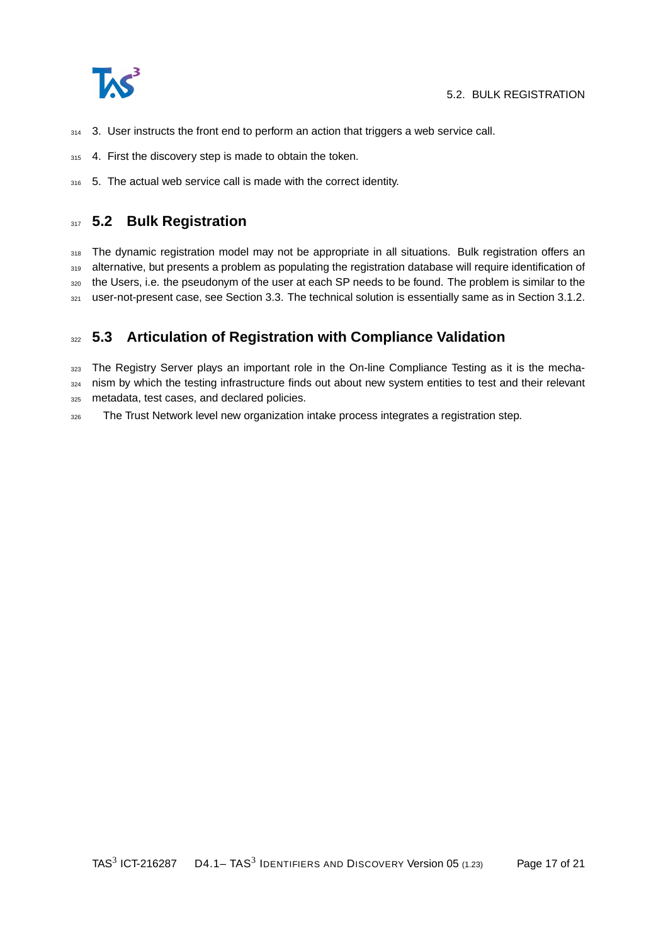

- $314$  3. User instructs the front end to perform an action that triggers a web service call.
- 315 4. First the discovery step is made to obtain the token.
- 316 5. The actual web service call is made with the correct identity.

#### <span id="page-16-0"></span>**317 5.2 Bulk Registration**

318 The dynamic registration model may not be appropriate in all situations. Bulk registration offers an 319 alternative, but presents a problem as populating the registration database will require identification of 320 the Users, i.e. the pseudonym of the user at each SP needs to be found. The problem is similar to the 321 user-not-present case, see Section [3.3.](#page-11-1) The technical solution is essentially same as in Section [3.1.2.](#page-10-1)

### <span id="page-16-1"></span><sup>322</sup> **5.3 Articulation of Registration with Compliance Validation**

323 The Registry Server plays an important role in the On-line Compliance Testing as it is the mecha-324 nism by which the testing infrastructure finds out about new system entities to test and their relevant <sup>325</sup> metadata, test cases, and declared policies.

326 The Trust Network level new organization intake process integrates a registration step.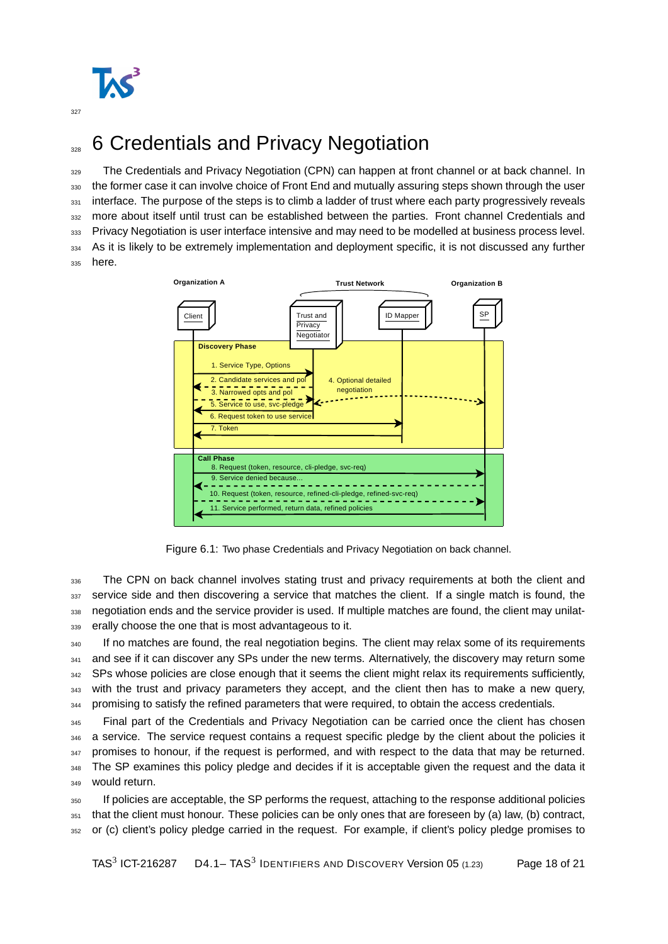

# <span id="page-17-0"></span><sup>328</sup> 6 Credentials and Privacy Negotiation

329 The Credentials and Privacy Negotiation (CPN) can happen at front channel or at back channel. In 330 the former case it can involve choice of Front End and mutually assuring steps shown through the user 331 interface. The purpose of the steps is to climb a ladder of trust where each party progressively reveals 332 more about itself until trust can be established between the parties. Front channel Credentials and 333 Privacy Negotiation is user interface intensive and may need to be modelled at business process level. 334 As it is likely to be extremely implementation and deployment specific, it is not discussed any further 335 here.



Figure 6.1: Two phase Credentials and Privacy Negotiation on back channel.

 The CPN on back channel involves stating trust and privacy requirements at both the client and 337 service side and then discovering a service that matches the client. If a single match is found, the negotiation ends and the service provider is used. If multiple matches are found, the client may unilat-erally choose the one that is most advantageous to it.

340 If no matches are found, the real negotiation begins. The client may relax some of its requirements 341 and see if it can discover any SPs under the new terms. Alternatively, the discovery may return some 342 SPs whose policies are close enough that it seems the client might relax its requirements sufficiently, <sup>343</sup> with the trust and privacy parameters they accept, and the client then has to make a new query, 344 promising to satisfy the refined parameters that were required, to obtain the access credentials.

345 Final part of the Credentials and Privacy Negotiation can be carried once the client has chosen 346 a service. The service request contains a request specific pledge by the client about the policies it  $347$  promises to honour, if the request is performed, and with respect to the data that may be returned. 348 The SP examines this policy pledge and decides if it is acceptable given the request and the data it 349 would return.

<sup>350</sup> If policies are acceptable, the SP performs the request, attaching to the response additional policies <sup>351</sup> that the client must honour. These policies can be only ones that are foreseen by (a) law, (b) contract, <sup>352</sup> or (c) client's policy pledge carried in the request. For example, if client's policy pledge promises to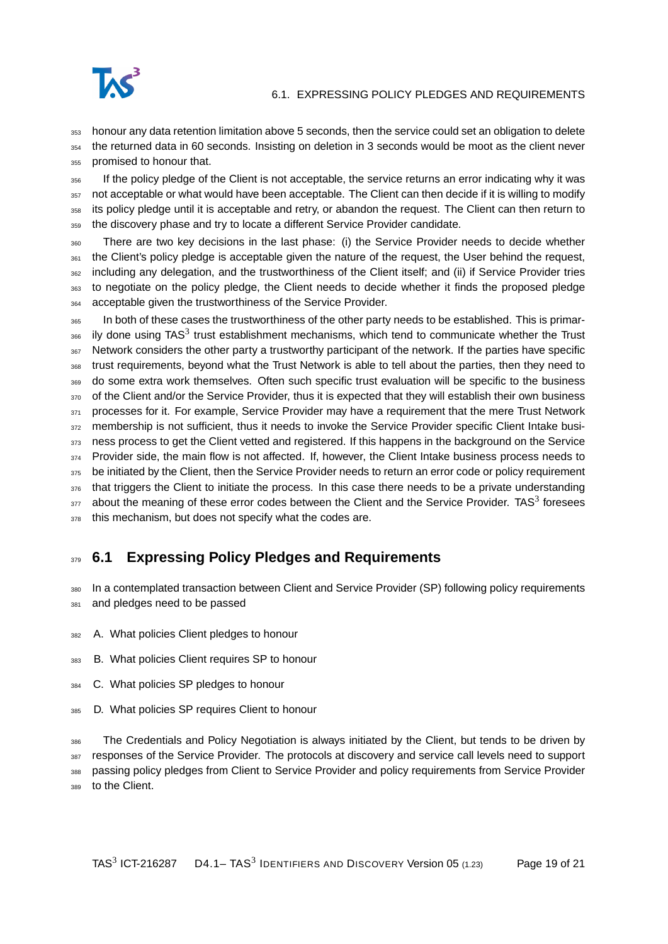

#### 6.1. EXPRESSING POLICY PLEDGES AND REQUIREMENTS

<sup>353</sup> honour any data retention limitation above 5 seconds, then the service could set an obligation to delete <sup>354</sup> the returned data in 60 seconds. Insisting on deletion in 3 seconds would be moot as the client never 355 promised to honour that.

 If the policy pledge of the Client is not acceptable, the service returns an error indicating why it was not acceptable or what would have been acceptable. The Client can then decide if it is willing to modify its policy pledge until it is acceptable and retry, or abandon the request. The Client can then return to the discovery phase and try to locate a different Service Provider candidate.

<sup>360</sup> There are two key decisions in the last phase: (i) the Service Provider needs to decide whether 361 the Client's policy pledge is acceptable given the nature of the request, the User behind the request, <sup>362</sup> including any delegation, and the trustworthiness of the Client itself; and (ii) if Service Provider tries 363 to negotiate on the policy pledge, the Client needs to decide whether it finds the proposed pledge <sup>364</sup> acceptable given the trustworthiness of the Service Provider.

<sup>365</sup> In both of these cases the trustworthiness of the other party needs to be established. This is primar- $366$  ily done using TAS<sup>3</sup> trust establishment mechanisms, which tend to communicate whether the Trust <sup>367</sup> Network considers the other party a trustworthy participant of the network. If the parties have specific <sup>368</sup> trust requirements, beyond what the Trust Network is able to tell about the parties, then they need to <sup>369</sup> do some extra work themselves. Often such specific trust evaluation will be specific to the business 370 of the Client and/or the Service Provider, thus it is expected that they will establish their own business 371 processes for it. For example, Service Provider may have a requirement that the mere Trust Network 372 membership is not sufficient, thus it needs to invoke the Service Provider specific Client Intake busi-373 ness process to get the Client vetted and registered. If this happens in the background on the Service 374 Provider side, the main flow is not affected. If, however, the Client Intake business process needs to 375 be initiated by the Client, then the Service Provider needs to return an error code or policy requirement 376 that triggers the Client to initiate the process. In this case there needs to be a private understanding  $377$  about the meaning of these error codes between the Client and the Service Provider. TAS<sup>3</sup> foresees 378 this mechanism, but does not specify what the codes are.

## <span id="page-18-0"></span><sup>379</sup> **6.1 Expressing Policy Pledges and Requirements**

<sup>380</sup> In a contemplated transaction between Client and Service Provider (SP) following policy requirements 381 and pledges need to be passed

- <sup>382</sup> A. What policies Client pledges to honour
- <sup>383</sup> B. What policies Client requires SP to honour
- 384 C. What policies SP pledges to honour
- <sup>385</sup> D. What policies SP requires Client to honour

<sup>386</sup> The Credentials and Policy Negotiation is always initiated by the Client, but tends to be driven by <sup>387</sup> responses of the Service Provider. The protocols at discovery and service call levels need to support <sup>388</sup> passing policy pledges from Client to Service Provider and policy requirements from Service Provider

389 to the Client.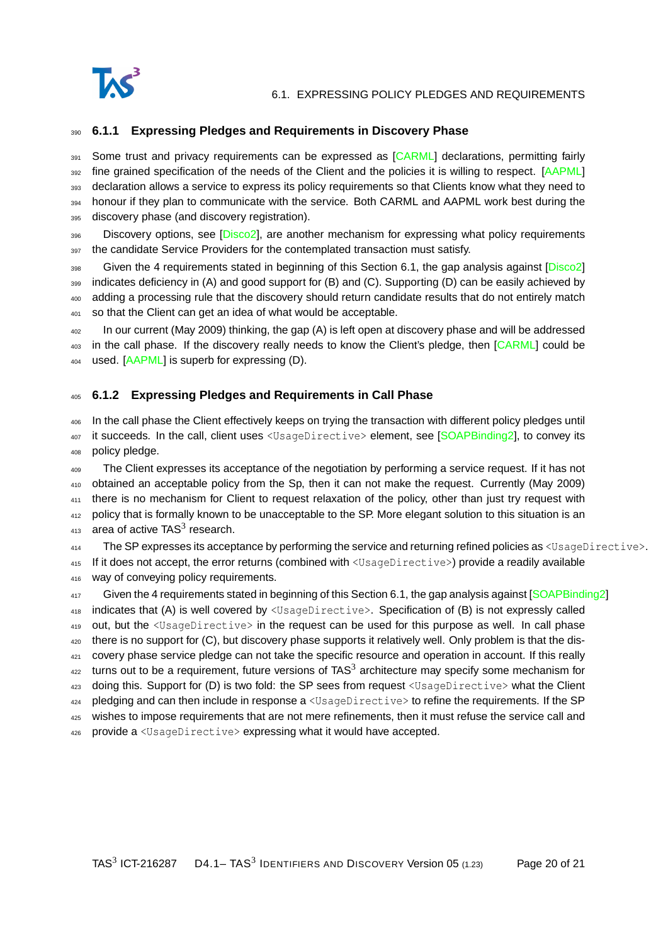

#### <span id="page-19-0"></span><sup>390</sup> **6.1.1 Expressing Pledges and Requirements in Discovery Phase**

391 Some trust and privacy requirements can be expressed as [\[CARML\]](#page-20-12) declarations, permitting fairly 392 fine grained specification of the needs of the Client and the policies it is willing to respect. [\[AAPML\]](#page-20-13) 393 declaration allows a service to express its policy requirements so that Clients know what they need to 394 honour if they plan to communicate with the service. Both CARML and AAPML work best during the 395 discovery phase (and discovery registration).

396 Discovery options, see [\[Disco2\]](#page-20-6), are another mechanism for expressing what policy requirements 397 the candidate Service Providers for the contemplated transaction must satisfy.

<sup>398</sup> Given the 4 requirements stated in beginning of this Section [6.1,](#page-18-0) the gap analysis against [\[Disco2\]](#page-20-6)

<sup>399</sup> indicates deficiency in (A) and good support for (B) and (C). Supporting (D) can be easily achieved by <sup>400</sup> adding a processing rule that the discovery should return candidate results that do not entirely match

<sup>401</sup> so that the Client can get an idea of what would be acceptable.

<sup>402</sup> In our current (May 2009) thinking, the gap (A) is left open at discovery phase and will be addressed 403 in the call phase. If the discovery really needs to know the Client's pledge, then [\[CARML\]](#page-20-12) could be 404 used. [\[AAPML\]](#page-20-13) is superb for expressing (D).

#### <span id="page-19-1"></span><sup>405</sup> **6.1.2 Expressing Pledges and Requirements in Call Phase**

<sup>406</sup> In the call phase the Client effectively keeps on trying the transaction with different policy pledges until 407 it succeeds. In the call, client uses <UsageDirective> element, see [\[SOAPBinding2\]](#page-20-10), to convey its <sup>408</sup> policy pledge.

<sup>409</sup> The Client expresses its acceptance of the negotiation by performing a service request. If it has not <sup>410</sup> obtained an acceptable policy from the Sp, then it can not make the request. Currently (May 2009) <sup>411</sup> there is no mechanism for Client to request relaxation of the policy, other than just try request with <sup>412</sup> policy that is formally known to be unacceptable to the SP. More elegant solution to this situation is an  $413$  area of active TAS<sup>3</sup> research.

414 The SP expresses its acceptance by performing the service and returning refined policies as  $\langle UsaqeDirective\rangle$ . 415 If it does not accept, the error returns (combined with <UsageDirective>) provide a readily available

416 way of conveying policy requirements.

417 Given the 4 requirements stated in beginning of this Section [6.1,](#page-18-0) the gap analysis against [\[SOAPBinding2\]](#page-20-10) <sup>418</sup> indicates that (A) is well covered by <UsageDirective>. Specification of (B) is not expressly called 419 out, but the <UsageDirective> in the request can be used for this purpose as well. In call phase 420 there is no support for (C), but discovery phase supports it relatively well. Only problem is that the dis-<sup>421</sup> covery phase service pledge can not take the specific resource and operation in account. If this really  $422$  turns out to be a requirement, future versions of TAS<sup>3</sup> architecture may specify some mechanism for 423 doing this. Support for (D) is two fold: the SP sees from request <UsageDirective> what the Client  $424$  pledging and can then include in response a  $\leq$ UsageDirective> to refine the requirements. If the SP <sup>425</sup> wishes to impose requirements that are not mere refinements, then it must refuse the service call and 426 provide a <UsageDirective> expressing what it would have accepted.